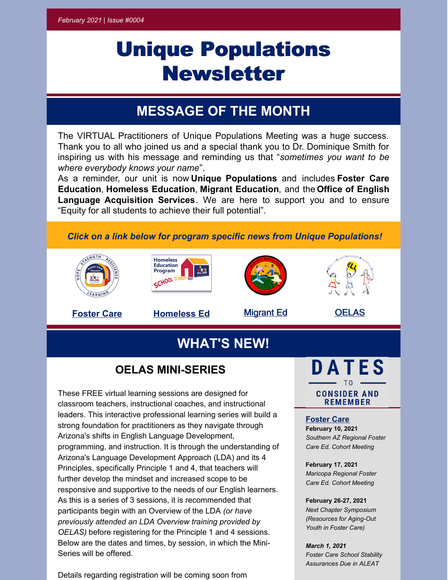# Unique Populations Newsletter

### **MESSAGE OF THE MONTH**

The VIRTUAL Practitioners of Unique Populations Meeting was a huge success. Thank you to all who joined us and a special thank you to Dr. Dominique Smith for inspiring us with his message and reminding us that "*sometimes you want to be where everybody knows your name*".

As a reminder, our unit is now **Unique Populations** and includes **Foster Care Education**, **Homeless Education**, **Migrant Education**, and the **Office of English Language Acquisition Services**. We are here to support you and to ensure "Equity for all students to achieve their full potential".

*Click on a link below for program specific news from Unique Populations!*









**[Foster](https://www.azed.gov/sites/default/files/2022/01/FC%20Newsletter%20Feb%20Mar%202021.pdf) Care [Homeless](https://www.azed.gov/sites/default/files/2022/01/Homeless%20February%20newsletter%202021%20draft%20_003_.pdf) Ed** [Migrant](https://www.azed.gov/sites/default/files/2022/01/Feb%202021%20MEP%20Newsletter%20final2.pdf) Ed [OELAS](https://www.azed.gov/sites/default/files/2022/01/OELAS%20NEWS%20FEB.pdf)

## **WHAT'S NEW!**

### **OELAS MINI-SERIES**

These FREE virtual learning sessions are designed for classroom teachers, instructional coaches, and instructional leaders. This interactive professional learning series will build a strong foundation for practitioners as they navigate through Arizona's shifts in English Language Development, programming, and instruction. It is through the understanding of Arizona's Language Development Approach (LDA) and its 4 Principles, specifically Principle 1 and 4, that teachers will further develop the mindset and increased scope to be responsive and supportive to the needs of our English learners. As this is a series of 3 sessions, it is recommended that participants begin with an Overview of the LDA *(or have previously attended an LDA Overview training provided by OELAS)* before registering for the Principle 1 and 4 sessions. Below are the dates and times, by session, in which the Mini-Series will be offered.

Details regarding registration will be coming soon from



#### **Foster Care**

**February 10, 2021** *Southern AZ Regional Foster Care Ed. Cohort Meeting*

#### **February 17, 2021**

*Maricopa Regional Foster Care Ed. Cohort Meeting*

#### **February 26-27, 2021**

*Next Chapter Symposium (Resources for Aging-Out Youth in Foster Care)*

*March 1, 2021 Foster Care School Stability Assurances Due in ALEAT*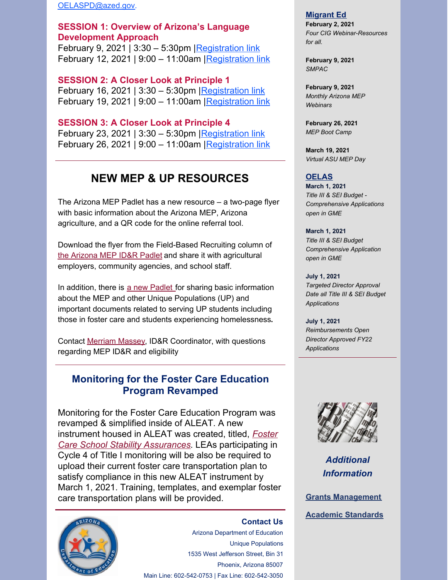[OELASPD@azed.gov](mailto:OELASPD@azed.gov).

#### **SESSION 1: Overview of Arizona's Language Development Approach**

February 9, 2021 | 3:30 – 5:30pm | [Registration](https://ems.azed.gov/Home/Calendar?sd=8449) link February 12, 2021 | 9:00 - 11:00am | Registration link

**SESSION 2: A Closer Look at Principle 1** February 16, 2021 | 3:30 – 5:30pm [Registration](https://ems.azed.gov/Home/Calendar?sd=8451) link February 19, 2021 | 9:00 – 11:00am [|Registration](https://ems.azed.gov/Home/Calendar?sd=8452) link

**SESSION 3: A Closer Look at Principle 4** February 23, 2021 | 3:30 - 5:30pm | [Registration](https://ems.azed.gov/Home/Calendar?sd=8453) link February 26, 2021 | 9:00 – 11:00am | Registration link

### **NEW MEP & UP RESOURCES**

The Arizona MEP Padlet has a new resource – a two-page flyer with basic information about the Arizona MEP, Arizona agriculture, and a QR code for the online referral tool.

Download the flyer from the Field-Based Recruiting column of the [Arizona](https://padlet.com/AZMEP/IDR) MEP ID&R Padlet and share it with agricultural employers, community agencies, and school staff.

In addition, there is a new [Padlet](https://padlet.com/AZMEP/UniquePopulations) for sharing basic information about the MEP and other Unique Populations (UP) and important documents related to serving UP students including those in foster care and students experiencing homelessness**.**

Contact [Merriam](mailto:merriam.massey@azed.gov) Massey, ID&R Coordinator, with questions regarding MEP ID&R and eligibility

### **Monitoring for the Foster Care Education Program Revamped**

Monitoring for the Foster Care Education Program was revamped & simplified inside of ALEAT. A new instrument housed in ALEAT was created, titled, *Foster Care School Stability Assurances*. LEAs [participating](https://www.ade.az.gov/CommonLogon/default.aspx) in Cycle 4 of Title I monitoring will be also be required to upload their current foster care transportation plan to satisfy compliance in this new ALEAT instrument by March 1, 2021. Training, templates, and exemplar foster care transportation plans will be provided.



#### **[Contact](mailto:OELAS@azed.gov) Us**

Arizona Department of Education Unique Populations 1535 West Jefferson Street, Bin 31 Phoenix, Arizona 85007 Main Line: 602-542-0753 | Fax Line: 602-542-3050

#### **Migrant Ed**

**February 2, 2021** *Four CIG Webinar-Resources for all.*

**February 9, 2021** *SMPAC*

**February 9, 2021** *Monthly Arizona MEP Webinars*

**February 26, 2021** *MEP Boot Camp*

**March 19, 2021** *Virtual ASU MEP Day*

#### **OELAS**

**March 1, 2021** *Title III & SEI Budget - Comprehensive Applications open in GME*

**March 1, 2021** *Title III & SEI Budget Comprehensive Application open in GME*

**July 1, 2021** *Targeted Director Approval Date all Title III & SEI Budget Applications*

**July 1, 2021** *Reimbursements Open Director Approved FY22 Applications*



*Additional Information*

**Grants [Management](https://www.azed.gov/grants-management/)**

**Academic [Standards](https://www.azed.gov/standards-practices/academic-standards)**